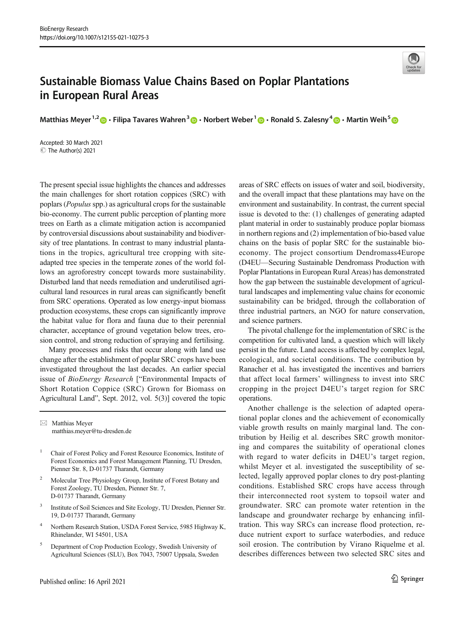

## Sustainable Biomass Value Chains Based on Poplar Plantations in European Rural Areas

Matthias Meyer <sup>1,2</sup>  $\cdot$  Filipa Tavares Wahren  $3 \cdot \cdot$  Norbert Weber  $1 \cdot \cdot \cdot$  Ronald S. Zalesny  $4 \cdot \cdot \cdot$  Martin Weih  $5 \cdot \cdot \cdot$ 

Accepted: 30 March 2021 C The Author(s) 2021

The present special issue highlights the chances and addresses the main challenges for short rotation coppices (SRC) with poplars (Populus spp.) as agricultural crops for the sustainable bio-economy. The current public perception of planting more trees on Earth as a climate mitigation action is accompanied by controversial discussions about sustainability and biodiversity of tree plantations. In contrast to many industrial plantations in the tropics, agricultural tree cropping with siteadapted tree species in the temperate zones of the world follows an agroforestry concept towards more sustainability. Disturbed land that needs remediation and underutilised agricultural land resources in rural areas can significantly benefit from SRC operations. Operated as low energy-input biomass production ecosystems, these crops can significantly improve the habitat value for flora and fauna due to their perennial character, acceptance of ground vegetation below trees, erosion control, and strong reduction of spraying and fertilising.

Many processes and risks that occur along with land use change after the establishment of poplar SRC crops have been investigated throughout the last decades. An earlier special issue of BioEnergy Research ["Environmental Impacts of Short Rotation Coppice (SRC) Grown for Biomass on Agricultural Land", Sept. 2012, vol. 5(3)] covered the topic

 $\boxtimes$  Matthias Meyer [matthias.meyer@tu-dresden.de](mailto:matthias.meyer@tu-dresden.de)

- <sup>1</sup> Chair of Forest Policy and Forest Resource Economics, Institute of Forest Economics and Forest Management Planning, TU Dresden, Pienner Str. 8, D-01737 Tharandt, Germany
- <sup>2</sup> Molecular Tree Physiology Group, Institute of Forest Botany and Forest Zoology, TU Dresden, Pienner Str. 7, D-01737 Tharandt, Germany
- <sup>3</sup> Institute of Soil Sciences and Site Ecology, TU Dresden, Pienner Str. 19, D-01737 Tharandt, Germany
- <sup>4</sup> Northern Research Station, USDA Forest Service, 5985 Highway K, Rhinelander, WI 54501, USA
- <sup>5</sup> Department of Crop Production Ecology, Swedish University of Agricultural Sciences (SLU), Box 7043, 75007 Uppsala, Sweden

areas of SRC effects on issues of water and soil, biodiversity, and the overall impact that these plantations may have on the environment and sustainability. In contrast, the current special issue is devoted to the: (1) challenges of generating adapted plant material in order to sustainably produce poplar biomass in northern regions and (2) implementation of bio-based value chains on the basis of poplar SRC for the sustainable bioeconomy. The project consortium Dendromass4Europe (D4EU—Securing Sustainable Dendromass Production with Poplar Plantations in European Rural Areas) has demonstrated how the gap between the sustainable development of agricultural landscapes and implementing value chains for economic sustainability can be bridged, through the collaboration of three industrial partners, an NGO for nature conservation, and science partners.

The pivotal challenge for the implementation of SRC is the competition for cultivated land, a question which will likely persist in the future. Land access is affected by complex legal, ecological, and societal conditions. The contribution by Ranacher et al. has investigated the incentives and barriers that affect local farmers' willingness to invest into SRC cropping in the project D4EU's target region for SRC operations.

Another challenge is the selection of adapted operational poplar clones and the achievement of economically viable growth results on mainly marginal land. The contribution by Heilig et al. describes SRC growth monitoring and compares the suitability of operational clones with regard to water deficits in D4EU's target region, whilst Meyer et al. investigated the susceptibility of selected, legally approved poplar clones to dry post-planting conditions. Established SRC crops have access through their interconnected root system to topsoil water and groundwater. SRC can promote water retention in the landscape and groundwater recharge by enhancing infiltration. This way SRCs can increase flood protection, reduce nutrient export to surface waterbodies, and reduce soil erosion. The contribution by Virano Riquelme et al. describes differences between two selected SRC sites and